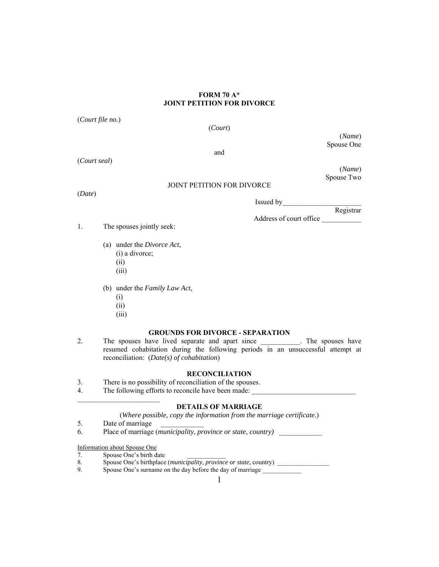## **FORM 70 A\* JOINT PETITION FOR DIVORCE**

(*Court file no.*)

(*Court*)

(*Name*) Spouse One

and

(*Court seal*)

(*Name*) Spouse Two

# JOINT PETITION FOR DIVORCE

(*Date*)

Issued by\_\_\_\_\_\_\_\_\_\_\_\_\_\_\_\_\_\_\_\_\_\_

Registrar Address of court office \_\_\_\_\_\_\_\_\_\_\_

1. The spouses jointly seek:

- (a) under the *Divorce Act*,
	- (i) a divorce;
	- (ii)
	- (iii)
- (b) under the *Family Law Act*,
	- (i)
	- (ii)
	- (iii)

## **GROUNDS FOR DIVORCE - SEPARATION**

2. The spouses have lived separate and apart since \_\_\_\_\_\_\_\_\_\_. The spouses have resumed cohabitation during the following periods in an unsuccessful attempt at reconciliation: (*Date(s) of cohabitation*)

## **RECONCILIATION**

- 3. There is no possibility of reconciliation of the spouses.
- 4. The following efforts to reconcile have been made:

## **DETAILS OF MARRIAGE**

(*Where possible, copy the information from the marriage certificate.*)

5. Date of marriage

6. Place of marriage (*municipality, province or state, country)* \_\_\_\_\_\_\_\_\_\_\_\_

Information about Spouse One

- 7. Spouse One's birth date
- 8. Spouse One's birthplace (*municipality, province or state,* country) \_\_\_\_\_\_\_\_\_\_\_\_\_\_\_\_
	- Spouse One's surname on the day before the day of marriage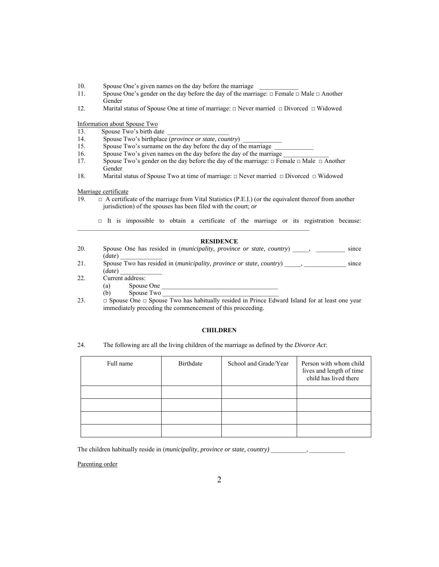- 10. Spouse One's given names on the day before the marriage
- 11. Spouse One's gender on the day before the day of the marriage: □ Female □ Male □ Another Gender
- 12. Marital status of Spouse One at time of marriage: □ Never married □ Divorced □ Widowed

Information about Spouse Two

- 13. Spouse Two's birth date
- 14. Spouse Two's birthplace (*province or state, country*)
- 15. Spouse Two's surname on the day before the day of the marriage
- 16. Spouse Two's given names on the day before the day of the marriage
- 17. Spouse Two's gender on the day before the day of the marriage: □ Female □ Male □ Another Gender
- 18. Marital status of Spouse Two at time of marriage: □ Never married □ Divorced □ Widowed

#### Marriage certificate

- 19. □ A certificate of the marriage from Vital Statistics (P.E.I.) (or the equivalent thereof from another jurisdiction) of the spouses has been filed with the court; *or*
- □ It is impossible to obtain a certificate of the marriage or its registration because:  $\mathcal{L}_\text{max} = \mathcal{L}_\text{max} = \mathcal{L}_\text{max} = \mathcal{L}_\text{max} = \mathcal{L}_\text{max} = \mathcal{L}_\text{max} = \mathcal{L}_\text{max} = \mathcal{L}_\text{max} = \mathcal{L}_\text{max} = \mathcal{L}_\text{max} = \mathcal{L}_\text{max} = \mathcal{L}_\text{max} = \mathcal{L}_\text{max} = \mathcal{L}_\text{max} = \mathcal{L}_\text{max} = \mathcal{L}_\text{max} = \mathcal{L}_\text{max} = \mathcal{L}_\text{max} = \mathcal{$

## **RESIDENCE**

- 20. Spouse One has resided in (*municipality, province or state, country*), since (*date*) \_\_\_\_\_\_\_\_\_\_\_\_\_
- 21. Spouse Two has resided in (*municipality, province or state, country*) \_\_\_\_\_, \_\_\_\_\_\_\_\_\_\_\_\_\_ since  $(date)$
- 22. Current address:
	- $(a)$  Spouse One
	- (b) Spouse Two
- 23.  $\Box$  Spouse One  $\Box$  Spouse Two has habitually resided in Prince Edward Island for at least one year immediately preceding the commencement of this proceeding.

### **CHILDREN**

24. The following are all the living children of the marriage as defined by the *Divorce Act*:

| Full name | Birthdate | School and Grade/Year | Person with whom child<br>lives and length of time<br>child has lived there |
|-----------|-----------|-----------------------|-----------------------------------------------------------------------------|
|           |           |                       |                                                                             |
|           |           |                       |                                                                             |
|           |           |                       |                                                                             |
|           |           |                       |                                                                             |

The children habitually reside in *(municipality, province or state, country)*  $\qquad \qquad$ ,

Parenting order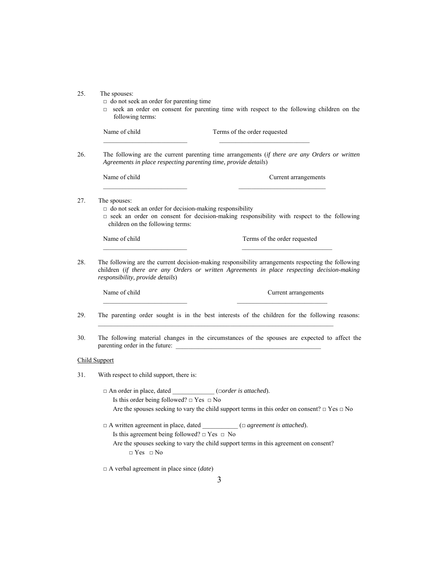| 25. | The spouses: |
|-----|--------------|
|-----|--------------|

- $\Box$  do not seek an order for parenting time
- □ seek an order on consent for parenting time with respect to the following children on the following terms:

Name of child Terms of the order requested  $\mathcal{L}_\text{max}$  and the contract of the contract of the contract of the contract of the contract of the contract of 26. The following are the current parenting time arrangements (*if there are any Orders or written Agreements in place respecting parenting time, provide details*) Name of child Current arrangements  $\mathcal{L}_\text{max}$  and the contract of the contract of the contract of the contract of the contract of the contract of 27. The spouses: □ do not seek an order for decision-making responsibility  $\square$  seek an order on consent for decision-making responsibility with respect to the following children on the following terms: Name of child Terms of the order requested \_\_\_\_\_\_\_\_\_\_\_\_\_\_\_\_\_\_\_\_\_\_\_\_\_\_ \_\_\_\_\_\_\_\_\_\_\_\_\_\_\_\_\_\_\_\_\_\_\_\_\_\_\_\_ 28. The following are the current decision-making responsibility arrangements respecting the following children (*if there are any Orders or written Agreements in place respecting decision-making responsibility, provide details*) Name of child Current arrangements 29. The parenting order sought is in the best interests of the children for the following reasons:  $\mathcal{L}_\text{max}$ 30. The following material changes in the circumstances of the spouses are expected to affect the parenting order in the future: Child Support 31. With respect to child support, there is: □ An order in place, dated \_\_\_\_\_\_\_\_\_\_\_\_\_ (□*order is attached*). Is this order being followed? □ Yes □ No Are the spouses seeking to vary the child support terms in this order on consent? □ Yes □ No □ A written agreement in place, dated \_\_\_\_\_\_\_\_\_\_\_ (□ *agreement is attached*). Is this agreement being followed?  $\Box$  Yes  $\Box$  No Are the spouses seeking to vary the child support terms in this agreement on consent?  $\hfill \Box$  <br> Yes  $\hfill \Box$  <br> No □ A verbal agreement in place since (*date*)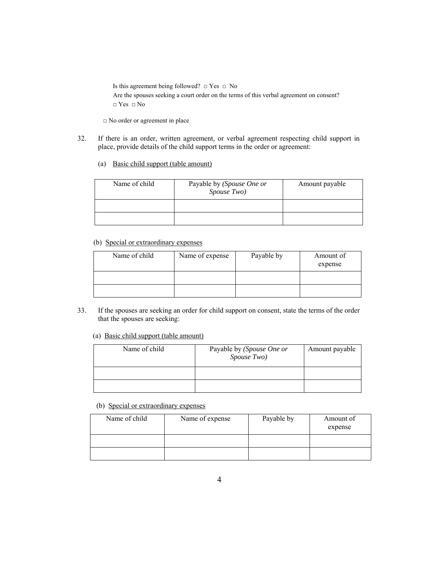Is this agreement being followed?  $\Box$  Yes  $\Box$  No

Are the spouses seeking a court order on the terms of this verbal agreement on consent?  $\Box$  Yes  $\Box$  No

□ No order or agreement in place

- 32. If there is an order, written agreement, or verbal agreement respecting child support in place, provide details of the child support terms in the order or agreement:
	- (a) Basic child support (table amount)

| Name of child | Payable by (Spouse One or<br>Spouse Two) | Amount payable |
|---------------|------------------------------------------|----------------|
|               |                                          |                |
|               |                                          |                |

# (b) Special or extraordinary expenses

| Name of child | Name of expense | Payable by | Amount of<br>expense |
|---------------|-----------------|------------|----------------------|
|               |                 |            |                      |
|               |                 |            |                      |

- 33. If the spouses are seeking an order for child support on consent, state the terms of the order that the spouses are seeking:
	- (a) Basic child support (table amount)

| Name of child | Payable by (Spouse One or<br>Spouse Two) | Amount payable |
|---------------|------------------------------------------|----------------|
|               |                                          |                |
|               |                                          |                |

(b) Special or extraordinary expenses

| Name of child | Name of expense | Payable by | Amount of |
|---------------|-----------------|------------|-----------|
|               |                 |            | expense   |
|               |                 |            |           |
|               |                 |            |           |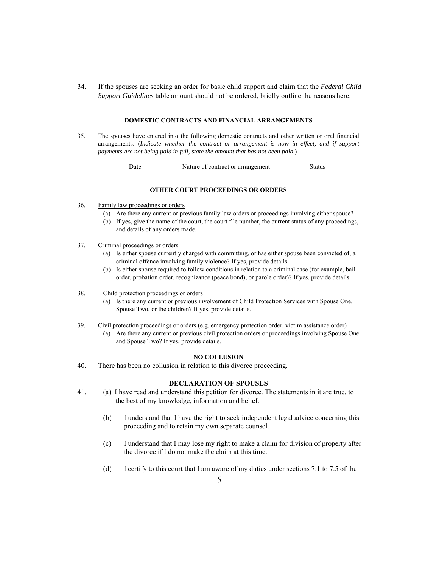34. If the spouses are seeking an order for basic child support and claim that the *Federal Child Support Guidelines* table amount should not be ordered, briefly outline the reasons here.

#### **DOMESTIC CONTRACTS AND FINANCIAL ARRANGEMENTS**

35. The spouses have entered into the following domestic contracts and other written or oral financial arrangements: (*Indicate whether the contract or arrangement is now in effect, and if support payments are not being paid in full, state the amount that has not been paid.*)

Date Mature of contract or arrangement Status

### **OTHER COURT PROCEEDINGS OR ORDERS**

- 36. Family law proceedings or orders
	- (a) Are there any current or previous family law orders or proceedings involving either spouse?
	- (b) If yes, give the name of the court, the court file number, the current status of any proceedings, and details of any orders made.
- 37. Criminal proceedings or orders
	- (a) Is either spouse currently charged with committing, or has either spouse been convicted of, a criminal offence involving family violence? If yes, provide details.
	- (b) Is either spouse required to follow conditions in relation to a criminal case (for example, bail order, probation order, recognizance (peace bond), or parole order)? If yes, provide details.
- 38. Child protection proceedings or orders
	- (a) Is there any current or previous involvement of Child Protection Services with Spouse One, Spouse Two, or the children? If yes, provide details.
- 39. Civil protection proceedings or orders (e.g. emergency protection order, victim assistance order)
	- (a) Are there any current or previous civil protection orders or proceedings involving Spouse One and Spouse Two? If yes, provide details.

### **NO COLLUSION**

40. There has been no collusion in relation to this divorce proceeding.

### **DECLARATION OF SPOUSES**

- 41. (a) I have read and understand this petition for divorce. The statements in it are true, to the best of my knowledge, information and belief.
	- (b) I understand that I have the right to seek independent legal advice concerning this proceeding and to retain my own separate counsel.
	- (c) I understand that I may lose my right to make a claim for division of property after the divorce if I do not make the claim at this time.
	- (d) I certify to this court that I am aware of my duties under sections 7.1 to 7.5 of the